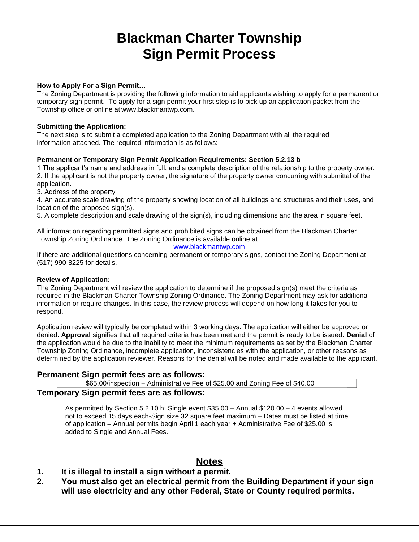## **Blackman Charter Township Sign Permit Process**

#### **How to Apply For a Sign Permit…**

The Zoning Department is providing the following information to aid applicants wishing to apply for a permanent or temporary sign permit. To apply for a sign permit your first step is to pick up an application packet from the Township office or online at [www.blackmantwp.com.](http://www.blackmantwp.com/)

#### **Submitting the Application:**

The next step is to submit a completed application to the Zoning Department with all the required information attached. The required information is as follows:

#### **Permanent or Temporary Sign Permit Application Requirements: Section 5.2.13 b**

1 The applicant's name and address in full, and a complete description of the relationship to the property owner. 2. If the applicant is not the property owner, the signature of the property owner concurring with submittal of the application.

3. Address of the property

4. An accurate scale drawing of the property showing location of all buildings and structures and their uses, and location of the proposed sign(s).

5. A complete description and scale drawing of the sign(s), including dimensions and the area in square feet.

All information regarding permitted signs and prohibited signs can be obtained from the Blackman Charter Township Zoning Ordinance. The Zoning Ordinance is available online at:

#### [www.blackmantwp.com](http://www.blackmantwp.com/)

If there are additional questions concerning permanent or temporary signs, contact the Zoning Department at (517) 990-8225 for details.

#### **Review of Application:**

The Zoning Department will review the application to determine if the proposed sign(s) meet the criteria as required in the Blackman Charter Township Zoning Ordinance. The Zoning Department may ask for additional information or require changes. In this case, the review process will depend on how long it takes for you to respond.

Application review will typically be completed within 3 working days. The application will either be approved or denied. **Approval** signifies that all required criteria has been met and the permit is ready to be issued. **Denial** of the application would be due to the inability to meet the minimum requirements as set by the Blackman Charter Township Zoning Ordinance, incomplete application, inconsistencies with the application, or other reasons as determined by the application reviewer. Reasons for the denial will be noted and made available to the applicant.

#### **Permanent Sign permit fees are as follows:**

\$65.00/inspection + Administrative Fee of \$25.00 and Zoning Fee of \$40.00

#### **Temporary Sign permit fees are as follows:**

As permitted by Section 5.2.10 h: Single event \$35.00 – Annual \$120.00 – 4 events allowed not to exceed 15 days each-Sign size 32 square feet maximum – Dates must be listed at time of application – Annual permits begin April 1 each year + Administrative Fee of \$25.00 is added to Single and Annual Fees.

### **Notes**

- **1. It is illegal to install a sign without a permit.**
- **2. You must also get an electrical permit from the Building Department if your sign will use electricity and any other Federal, State or County required permits.**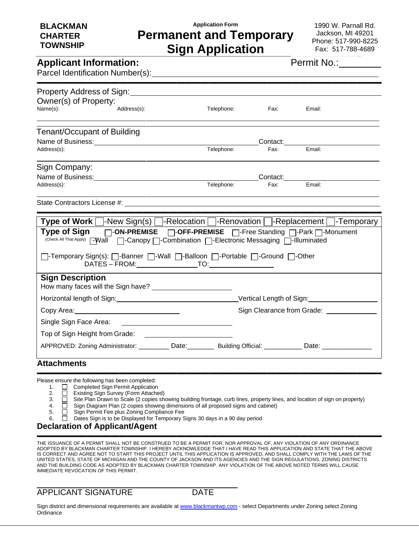## **Application Form Permanent and Temporary Sign Application**

1990 W. Parnall Rd. Jackson, MI 49201 Phone: 517-990-8225 Fax: 517-788-4689

## **Applicant Information:**

Parcel Identification Number(s):

| Permit No.: |  |  |  |  |
|-------------|--|--|--|--|
|             |  |  |  |  |

| Owner(s) of Property:<br>Name(s):  | Address(s):                                                                                                                                                                                                                                                                                      | Telephone: | Fax:              | Email:                           |  |
|------------------------------------|--------------------------------------------------------------------------------------------------------------------------------------------------------------------------------------------------------------------------------------------------------------------------------------------------|------------|-------------------|----------------------------------|--|
| <b>Tenant/Occupant of Building</b> |                                                                                                                                                                                                                                                                                                  |            |                   |                                  |  |
|                                    |                                                                                                                                                                                                                                                                                                  |            |                   | Contact:________________________ |  |
| Address(s):                        |                                                                                                                                                                                                                                                                                                  | Telephone: | Fax:              | Email:                           |  |
| Sign Company:                      |                                                                                                                                                                                                                                                                                                  |            |                   |                                  |  |
|                                    | Name of Business: Name of Business:                                                                                                                                                                                                                                                              |            | Contact: Contact: |                                  |  |
| Address(s):                        |                                                                                                                                                                                                                                                                                                  | Telephone: | Fax:              | Email:                           |  |
|                                    | <b>Type of Work</b> $\Box$ -New Sign(s) $\Box$ -Relocation $\Box$ -Renovation $\Box$ -Replacement $\Box$ -Temporary<br>Type of Sign □-ON-PREMISE □-OFF-PREMISE □-Free Standing □-Park □-Monument<br>(Check All That Apply) [-Wall     Canopy   Combination   Electronic Messaging   -Illuminated |            |                   |                                  |  |
|                                    | []-Temporary Sign(s): []-Banner []-Wall []-Balloon []-Portable []-Ground []-Other                                                                                                                                                                                                                |            |                   |                                  |  |
| <b>Sign Description</b>            |                                                                                                                                                                                                                                                                                                  |            |                   |                                  |  |
|                                    | Horizontal length of Sign: North Control of Sign: North Control of Sign: North Control of Sign: North Control of Sign: North Control of Sign: North Control of Sign: North Control of Sign: North Control of Sign: North Contr                                                                   |            |                   |                                  |  |
|                                    |                                                                                                                                                                                                                                                                                                  |            |                   |                                  |  |
|                                    |                                                                                                                                                                                                                                                                                                  |            |                   |                                  |  |
|                                    | Top of Sign Height from Grade: <u>[11] North American Contract Community</u>                                                                                                                                                                                                                     |            |                   |                                  |  |

▬▬▬▬▬▬▬▬▬▬▬▬▬▬▬▬▬▬▬▬▬▬▬▬▬▬▬▬▬▬▬▬▬▬▬▬▬▬▬▬▬▬

- Please ensure the following has been completed:
	- 1. **C** Completed Sign Permit Application
	- 2. Existing Sign Survey (Form Attached)
	- 3.  $\Box$  Site Plan Drawn to Scale (2 copies showing building frontage, curb lines, property lines, and location of sign on property)<br>
	4.  $\Box$  Sign Diagram Plan (2 copies showing dimensions of all proposed signs and cabinet)

▬▬▬▬▬▬▬▬▬▬▬▬▬▬▬▬▬▬▬▬▬▬▬▬▬▬▬▬▬▬▬▬▬▬▬▬▬▬▬▬▬▬

- 4.  $\Box$  Sign Diagram Plan (2 copies showing dimensions of all proposed signs and cabinet)
- 5. **Calcular Sign Permit Fee plus Zoning Compliance Fee**
- 6.  $\Box$  Dates Sign is to be Displayed for Temporary Signs 30 days in a 90 day period

#### **Declaration of Applicant/Agent**

THE ISSUANCE OF A PERMIT SHALL NOT BE CONSTRUED TO BE A PERMIT FOR, NOR APPROVAL OF, ANY VIOLATION OF ANY ORDINANCE ADOPTED BY BLACKMAN CHARTER TOWNSHIP. I HEREBY ACKNOWLEDGE THAT I HAVE READ THIS APPLICATION AND STATE THAT THE ABOVE IS CORRECT AND AGREE NOT TO START THIS PROJECT UNTIL THIS APPLICATION IS APPROVED, AND SHALL COMPLY WITH THE LAWS OF THE UNITED STATES, STATE OF MICHIGAN AND THE COUNTY OF JACKSON AND ITS AGENCIES AND THE SIGN REGULATIONS, ZONING DISTRICTS AND THE BUILDING CODE AS ADOPTED BY BLACKMAN CHARTER TOWNSHIP. ANY VIOLATION OF THE ABOVE NOTED TERMS WILL CAUSE IMMEDIATE REVOCATION OF THIS PERMIT.

APPLICANT SIGNATURE DATE

Sign district and dimensional requirements are available a[t www.blackmantwp.com](http://www.blackmantwp.com/) - select Departments under Zoning select Zoning **Ordinance**